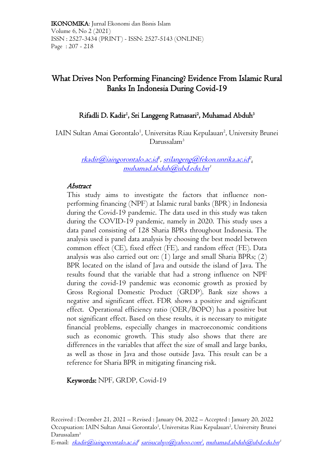IKONOMIKA: Jurnal Ekonomi dan Bisnis Islam Volume 6, No 2 (2021) ISSN : 2527-3434 (PRINT) - ISSN: 2527-5143 (ONLINE) Page : 207 - 218

# What Drives Non Performing Financing? Evidence From Islamic Rural Banks In Indonesia During Covid-19

### Rifadli D. Kadir<sup>1</sup>, Sri Langgeng Ratnasari<sup>2</sup>, Muhamad Abduh<sup>3</sup>

IAIN Sultan Amai Gorontalo<sup>1</sup>, Universitas Riau Kepulauan<sup>2</sup>, University Brunei Darussalam<sup>3</sup>

> [rkadir@iaingorontalo.ac.id](mailto:rkadir@iaingorontalo.ac.id) 1 , [srilangeng@fekon.unrika.ac.id](mailto:srilangeng@fekon.unrika.ac.id) 2 , [muhamad.abduh@ubd.edu.bn](mailto:muhamad.abduh@ubd.edu.bn) 3

#### Abstract

This study aims to investigate the factors that influence nonperforming financing (NPF) at Islamic rural banks (BPR) in Indonesia during the Covid-19 pandemic. The data used in this study was taken during the COVID-19 pandemic, namely in 2020. This study uses a data panel consisting of 128 Sharia BPRs throughout Indonesia. The analysis used is panel data analysis by choosing the best model between common effect (CE), fixed effect (FE), and random effect (FE). Data analysis was also carried out on:  $(1)$  large and small Sharia BPRs;  $(2)$ BPR located on the island of Java and outside the island of Java. The results found that the variable that had a strong influence on NPF during the covid-19 pandemic was economic growth as proxied by Gross Regional Domestic Product (GRDP). Bank size shows a negative and significant effect. FDR shows a positive and significant effect. Operational efficiency ratio (OER/BOPO) has a positive but not significant effect. Based on these results, it is necessary to mitigate financial problems, especially changes in macroeconomic conditions such as economic growth. This study also shows that there are differences in the variables that affect the size of small and large banks, as well as those in Java and those outside Java. This result can be a reference for Sharia BPR in mitigating financing risk.

Keywords: NPF, GRDP, Covid-19

E-mail: <u>rkadir@iaingorontalo.ac.id<sup>1</sup> sarisucahyo@yahoo.com<sup>2</sup>, <u>muhamad.abduh@ubd.edu.bn</u><sup>3</sup></u>

Received : December 21, 2021 – Revised : January 04, 2022 – Accepted : January 20, 2022 Occupuation: IAIN Sultan Amai Gorontalo<sup>1</sup>, Universitas Riau Kepulauan<sup>2</sup>, University Brunei Darussalam<sup>3</sup>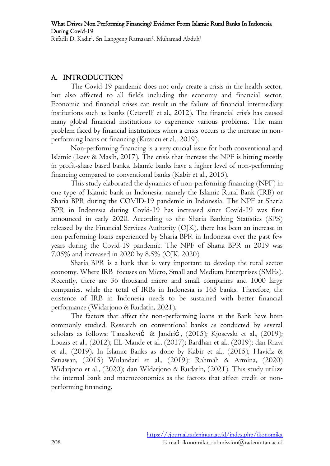### A. INTRODUCTION

The Covid-19 pandemic does not only create a crisis in the health sector, but also affected to all fields including the economy and financial sector. Economic and financial crises can result in the failure of financial intermediary institutions such as banks (Cetorelli et al., 2012). The financial crisis has caused many global financial institutions to experience various problems. The main problem faced by financial institutions when a crisis occurs is the increase in nonperforming loans or financing (Kuzucu et al., 2019).

Non-performing financing is a very crucial issue for both conventional and Islamic (Isaev & Masih, 2017). The crisis that increase the NPF is hitting mostly in profit-share based banks. Islamic banks have a higher level of non-performing financing compared to conventional banks (Kabir et al., 2015).

This study elaborated the dynamics of non-performing financing (NPF) in one type of Islamic bank in Indonesia, namely the Islamic Rural Bank (IRB) or Sharia BPR during the COVID-19 pandemic in Indonesia. The NPF at Sharia BPR in Indonesia during Covid-19 has increased since Covid-19 was first announced in early 2020. According to the Sharia Banking Statistics (SPS) released by the Financial Services Authority (OJK), there has been an increase in non-performing loans experienced by Sharia BPR in Indonesia over the past few years during the Covid-19 pandemic. The NPF of Sharia BPR in 2019 was 7.05% and increased in 2020 by 8.5% (OJK, 2020).

Sharia BPR is a bank that is very important to develop the rural sector economy. Where IRB focuses on Micro, Small and Medium Enterprises (SMEs). Recently, there are 36 thousand micro and small companies and 1000 large companies, while the total of IRBs in Indonesia is 165 banks. Therefore, the existence of IRB in Indonesia needs to be sustained with better financial performance (Widarjono & Rudatin, 2021).

The factors that affect the non-performing loans at the Bank have been commonly studied. Research on conventional banks as conducted by several scholars as follows: Tanasković & Jandrić , (2015); Kjosevski et al., (2019); Louzis et al., (2012); EL-Maude et al., (2017); Bardhan et al., (2019); dan Rizvi et al., (2019). In Islamic Banks as done by Kabir et al., (2015); Havidz & Setiawan, (2015) Wulandari et al., (2019); Rahmah & Armina, (2020) Widarjono et al., (2020); dan Widarjono & Rudatin, (2021). This study utilize the internal bank and macroeconomics as the factors that affect credit or nonperforming financing.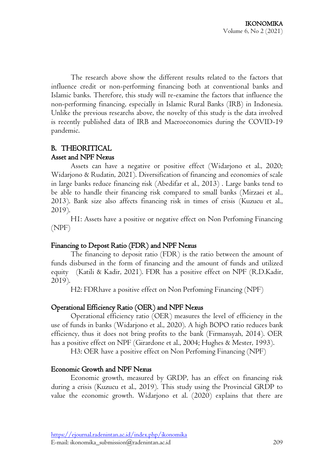The research above show the different results related to the factors that influence credit or non-performing financing both at conventional banks and Islamic banks. Therefore, this study will re-examine the factors that influence the non-performing financing, especially in Islamic Rural Banks (IRB) in Indonesia. Unlike the previous researchs above, the novelty of this study is the data involved is recently published data of IRB and Macroeconomics during the COVID-19 pandemic.

### B. THEORITICAL Asset and NPF Nexus

Assets can have a negative or positive effect (Widarjono et al., 2020; Widarjono & Rudatin, 2021). Diversification of financing and economies of scale in large banks reduce financing risk (Abedifar et al., 2013) . Large banks tend to be able to handle their financing risk compared to small banks (Mirzaei et al., 2013). Bank size also affects financing risk in times of crisis (Kuzucu et al., 2019).

H1: Assets have a positive or negative effect on Non Perfoming Financing (NPF)

### Financing to Depost Ratio (FDR) and NPF Nexus

The financing to deposit ratio (FDR) is the ratio between the amount of funds disbursed in the form of financing and the amount of funds and utilized equity (Katili & Kadir, 2021). FDR has a positive effect on NPF (R.D.Kadir, 2019).

H2: FDRhave a positive effect on Non Perfoming Financing (NPF)

## Operational Efficiency Ratio (OER) and NPF Nexus

Operational efficiency ratio (OER) measures the level of efficiency in the use of funds in banks (Widarjono et al., 2020). A high BOPO ratio reduces bank efficiency, thus it does not bring profits to the bank (Firmansyah, 2014). OER has a positive effect on NPF (Girardone et al., 2004; Hughes & Mester, 1993).

H3: OER have a positive effect on Non Perfoming Financing (NPF)

## Economic Growth and NPF Nexus

Economic growth, measured by GRDP, has an effect on financing risk during a crisis (Kuzucu et al., 2019). This study using the Provincial GRDP to value the economic growth. Widarjono et al. (2020) explains that there are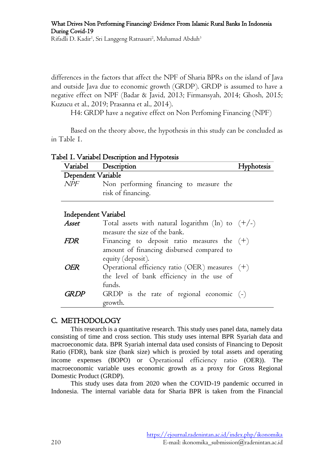differences in the factors that affect the NPF of Sharia BPRs on the island of Java and outside Java due to economic growth (GRDP). GRDP is assumed to have a negative effect on NPF (Badar & Javid, 2013; Firmansyah, 2014; Ghosh, 2015; Kuzucu et al., 2019; Prasanna et al., 2014).

H4: GRDP have a negative effect on Non Perfoming Financing (NPF)

Based on the theory above, the hypothesis in this study can be concluded as in Table 1.

|  | Tabel I. Variabel Description and Hypotesis |  |
|--|---------------------------------------------|--|
|  |                                             |  |

funds.

growth.

|                      | Variabel Description                                | ofesis |
|----------------------|-----------------------------------------------------|--------|
| Dependent Variable   |                                                     |        |
| <b>NPF</b>           | Non performing financing to measure the             |        |
|                      | risk of financing.                                  |        |
|                      |                                                     |        |
| Independent Variabel |                                                     |        |
| Asset                | Total assets with natural logarithm (ln) to $(+/-)$ |        |
|                      | measure the size of the bank.                       |        |
| <i>FDR</i>           | Financing to deposit ratio measures the $(+)$       |        |
|                      | amount of financing disbursed compared to           |        |
|                      | equity (deposit).                                   |        |
| ΗR                   | Operational efficiency ratio (OER) measures $(+)$   |        |
|                      | the level of bank efficiency in the use of          |        |

### C. METHODOLOGY

This research is a quantitative research. This study uses panel data, namely data consisting of time and cross section. This study uses internal BPR Syariah data and macroeconomic data. BPR Syariah internal data used consists of Financing to Deposit Ratio (FDR), bank size (bank size) which is proxied by total assets and operating income expenses (BOPO) or Operational efficiency ratio (OER)). The macroeconomic variable uses economic growth as a proxy for Gross Regional Domestic Product (GRDP).

 $GRDP$  GRDP is the rate of regional economic  $(-)$ 

This study uses data from 2020 when the COVID-19 pandemic occurred in Indonesia. The internal variable data for Sharia BPR is taken from the Financial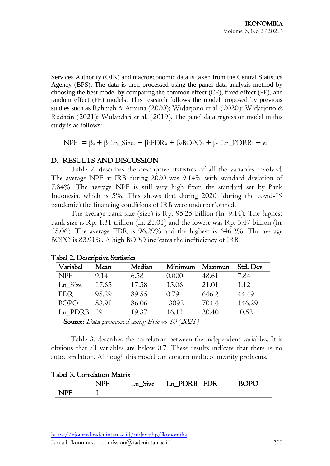Services Authority (OJK) and macroeconomic data is taken from the Central Statistics Agency (BPS). The data is then processed using the panel data analysis method by choosing the best model by comparing the common effect (CE), fixed effect (FE), and random effect (FE) models. This research follows the model proposed by previous studies such as Rahmah & Armina (2020); Widarjono et al. (2020); Widarjono & Rudatin (2021); Wulandari et al. (2019). The panel data regression model in this study is as follows:

 $NPF_{it} = \beta_0 + \beta_1 Ln_Size_{it} + \beta_2 FDR_{it} + \beta_3 BOPO_{it} + \beta_4 Ln_PDRB_{it} + e_{it}$ 

### D. RESULTS AND DISCUSSION

Table 2. describes the descriptive statistics of all the variables involved. The average NPF at IRB during 2020 was 9.14% with standard deviation of 7.84%. The average NPF is still very high from the standard set by Bank Indonesia, which is 5%. This shows that during 2020 (during the covid-19 pandemic) the financing conditions of IRB were underperformed.

The average bank size (size) is Rp. 95.25 billion (ln. 9.14). The highest bank size is Rp. 1.31 trillion (ln. 21.01) and the lowest was Rp. 3.47 billion (ln. 15.06). The average FDR is 96.29% and the highest is 646.2%. The average BOPO is 83.91%. A high BOPO indicates the inefficiency of IRB.

| Variabel             | Mean  | Median                        | Minimum                                             | Maximun | Std. Dev |
|----------------------|-------|-------------------------------|-----------------------------------------------------|---------|----------|
| <b>NPF</b>           | 9.14  | 6.58                          | 0.000                                               | 48.61   | 7.84     |
| Ln Size              | 17.65 | 17.58                         | 15.06                                               | 21.01   | 1.12     |
| <b>FDR</b>           | 95.29 | 89.55                         | 0.79                                                | 646.2   | 44.49    |
| <b>BOPO</b>          | 83.91 | 86.06                         | $-3092$                                             | 704.4   | 146.29   |
| Ln PDRB              | - 19  | 19.37                         | 16.11                                               | 20.40   | $-0.52$  |
| $\sqrt{ }$<br>$\sim$ |       | $\mathbf{r}$ . $\mathbf{r}$ . | $\rightarrow$ $\land$ $\land$ $\rightarrow$ $\land$ |         |          |

### Tabel 2. Descriptive Statistics

Source: Data processed using Eviews 10 (2021)

Table 3. describes the correlation between the independent variables. It is obvious that all variables are below 0.7. These results indicate that there is no autocorrelation. Although this model can contain multicollinearity problems.

|  | Tabel 3. Correlation Matrix |  |
|--|-----------------------------|--|
|--|-----------------------------|--|

| $\sim$ | $Ln_{-}$<br>$\bigcup$ $\bigcup$ | <b>FDR</b><br>$Ln$ PDRB | D1. |
|--------|---------------------------------|-------------------------|-----|
|        |                                 |                         |     |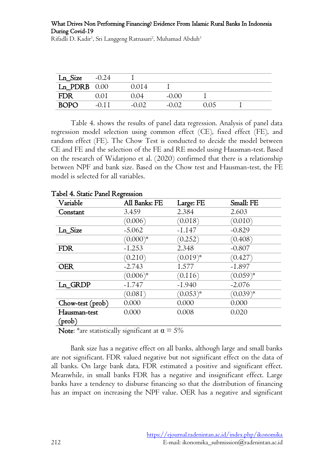| Ln_Size          | $-0.24$   |         |          |      |  |
|------------------|-----------|---------|----------|------|--|
| $Ln$ PDRB $0.00$ |           | 0.014   |          |      |  |
| FDR              | U U L     | 0.04    | $-0.00$  |      |  |
| <b>BOPO</b>      | $(1)$ 1 1 | $-0.02$ | $-()()2$ | 0.05 |  |

Table 4. shows the results of panel data regression. Analysis of panel data regression model selection using common effect (CE), fixed effect (FE), and random effect (FE). The Chow Test is conducted to decide the model between CE and FE and the selection of the FE and RE model using Hausman-test. Based on the research of Widarjono et al. (2020) confirmed that there is a relationship between NPF and bank size. Based on the Chow test and Hausman-test, the FE model is selected for all variables.

| Variable         | All Banks: FE | Large: FE     | Small: FE     |
|------------------|---------------|---------------|---------------|
| Constant         | 3.459         | 2.384         | 2.603         |
|                  | (0.006)       | (0.018)       | (0.010)       |
| Ln_Size          | $-5.062$      | $-1.147$      | $-0.829$      |
|                  | $(0.000)^*$   | (0.252)       | (0.408)       |
| <b>FDR</b>       | $-1.253$      | 2.348         | $-0.807$      |
|                  | (0.210)       | $(0.019)^{*}$ | (0.427)       |
| <b>OER</b>       | $-2.743$      | 1.577         | $-1.897$      |
|                  | $(0.006)^{*}$ | (0.116)       | $(0.059)^{*}$ |
| Ln_GRDP          | $-1.747$      | $-1.940$      | $-2.076$      |
|                  | (0.081)       | $(0.053)^{*}$ | $(0.039)^{*}$ |
| Chow-test (prob) | 0.000         | 0.000         | 0.000         |
| Hausman-test     | 0.000         | 0.008         | 0.020         |
| $(\text{prob})$  |               |               |               |

#### Tabel 4. Static Panel Regression

Note: \*are statistically significant at  $\alpha = 5\%$ 

Bank size has a negative effect on all banks, although large and small banks are not significant. FDR valued negative but not significant effect on the data of all banks. On large bank data, FDR estimated a positive and significant effect. Meanwhile, in small banks FDR has a negative and insignificant effect. Large banks have a tendency to disburse financing so that the distribution of financing has an impact on increasing the NPF value. OER has a negative and significant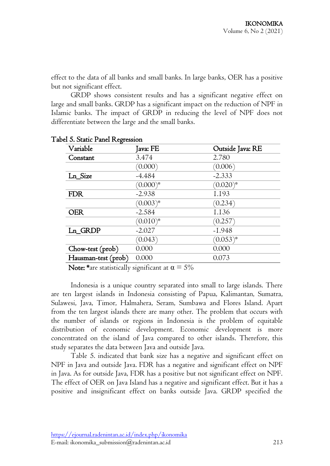effect to the data of all banks and small banks. In large banks, OER has a positive but not significant effect.

GRDP shows consistent results and has a significant negative effect on large and small banks. GRDP has a significant impact on the reduction of NPF in Islamic banks. The impact of GRDP in reducing the level of NPF does not differentiate between the large and the small banks.

| 0<br>Variable       | Java: FE      | Outside Java: RE |
|---------------------|---------------|------------------|
| Constant            | 3.474         | 2.780            |
|                     | (0.000)       | (0.006)          |
| Ln_Size             | $-4.484$      | $-2.333$         |
|                     | $(0.000)^{*}$ | $(0.020)^{*}$    |
| <b>FDR</b>          | $-2.938$      | I.193            |
|                     | $(0.003)^{*}$ | (0.234)          |
| OER                 | $-2.584$      | I.I36            |
|                     | $(0.010)^{*}$ | (0.257)          |
| Ln_GRDP             | $-2.027$      | $-1.948$         |
|                     | (0.043)       | $(0.053)^{*}$    |
| Chow-test (prob)    | 0.000         | 0.000            |
| Hausman-test (prob) | 0.000         | 0.073            |

#### Tabel 5. Static Panel Regression

Note: \*are statistically significant at  $\alpha = 5\%$ 

Indonesia is a unique country separated into small to large islands. There are ten largest islands in Indonesia consisting of Papua, Kalimantan, Sumatra, Sulawesi, Java, Timor, Halmahera, Seram, Sumbawa and Flores Island. Apart from the ten largest islands there are many other. The problem that occurs with the number of islands or regions in Indonesia is the problem of equitable distribution of economic development. Economic development is more concentrated on the island of Java compared to other islands. Therefore, this study separates the data between Java and outside Java.

Table 5. indicated that bank size has a negative and significant effect on NPF in Java and outside Java. FDR has a negative and significant effect on NPF in Java. As for outside Java, FDR has a positive but not significant effect on NPF. The effect of OER on Java Island has a negative and significant effect. But it has a positive and insignificant effect on banks outside Java. GRDP specified the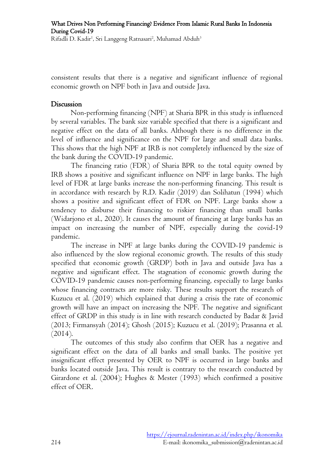consistent results that there is a negative and significant influence of regional economic growth on NPF both in Java and outside Java.

#### Discussion

Non-performing financing (NPF) at Sharia BPR in this study is influenced by several variables. The bank size variable specified that there is a significant and negative effect on the data of all banks. Although there is no difference in the level of influence and significance on the NPF for large and small data banks. This shows that the high NPF at IRB is not completely influenced by the size of the bank during the COVID-19 pandemic.

The financing ratio (FDR) of Sharia BPR to the total equity owned by IRB shows a positive and significant influence on NPF in large banks. The high level of FDR at large banks increase the non-performing financing. This result is in accordance with research by R.D. Kadir (2019) dan Solihatun (1994) which shows a positive and significant effect of FDR on NPF. Large banks show a tendency to disburse their financing to riskier financing than small banks (Widarjono et al., 2020). It causes the amount of financing at large banks has an impact on increasing the number of NPF, especially during the covid-19 pandemic.

The increase in NPF at large banks during the COVID-19 pandemic is also influenced by the slow regional economic growth. The results of this study specified that economic growth (GRDP) both in Java and outside Java has a negative and significant effect. The stagnation of economic growth during the COVID-19 pandemic causes non-performing financing, especially to large banks whose financing contracts are more risky. These results support the research of Kuzucu et al. (2019) which explained that during a crisis the rate of economic growth will have an impact on increasing the NPF. The negative and significant effect of GRDP in this study is in line with research conducted by Badar & Javid (2013; Firmansyah (2014); Ghosh (2015); Kuzucu et al. (2019); Prasanna et al.  $(2014).$ 

The outcomes of this study also confirm that OER has a negative and significant effect on the data of all banks and small banks. The positive yet insignificant effect presented by OER to NPF is occurred in large banks and banks located outside Java. This result is contrary to the research conducted by Girardone et al. (2004); Hughes & Mester (1993) which confirmed a positive effect of OER.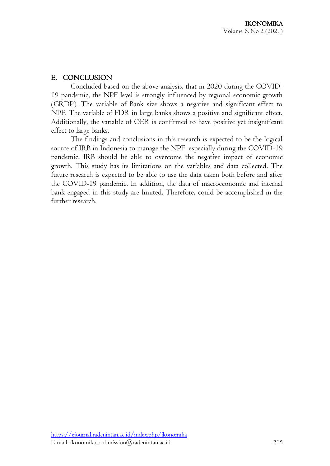## E. CONCLUSION

Concluded based on the above analysis, that in 2020 during the COVID-19 pandemic, the NPF level is strongly influenced by regional economic growth (GRDP). The variable of Bank size shows a negative and significant effect to NPF. The variable of FDR in large banks shows a positive and significant effect. Additionally, the variable of OER is confirmed to have positive yet insignificant effect to large banks.

The findings and conclusions in this research is expected to be the logical source of IRB in Indonesia to manage the NPF, especially during the COVID-19 pandemic. IRB should be able to overcome the negative impact of economic growth. This study has its limitations on the variables and data collected. The future research is expected to be able to use the data taken both before and after the COVID-19 pandemic. In addition, the data of macroeconomic and internal bank engaged in this study are limited. Therefore, could be accomplished in the further research.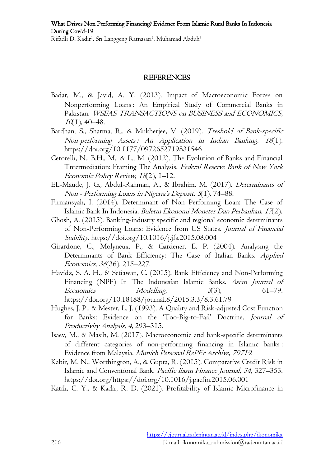#### REFERENCES

- Badar, M., & Javid, A. Y. (2013). Impact of Macroeconomic Forces on Nonperforming Loans : An Empirical Study of Commercial Banks in Pakistan. WSEAS TRANSACTIONS on BUSINESS and ECONOMICS,  $10(1)$ , 40–48.
- Bardhan, S., Sharma, R., & Mukherjee, V. (2019). Treshold of Bank-specific Non-performing Assets : An Application in Indian Banking. 18(1). https://doi.org/10.1177/0972652719831546
- Cetorelli, N., B.H., M., & L., M. (2012). The Evolution of Banks and Financial Tntermediation: Framing The Analysis. Federal Reserve Bank of New York Economic Policy Review, 18(2), 1–12.
- EL-Maude, J. G., Abdul-Rahman, A., & Ibrahim, M. (2017). Determinants of Non - Performing Loans in Nigeria's Deposit. 5(1), 74–88.
- Firmansyah, I. (2014). Determinant of Non Performing Loan: The Case of Islamic Bank In Indonesia. Buletin Ekonomi Moneter Dan Perbankan, 17(2).
- Ghosh, A. (2015). Banking-industry specific and regional economic determinants of Non-Performing Loans: Evidence from US States. Journal of Financial Stability. https://doi.org/10.1016/j.jfs.2015.08.004
- Girardone, C., Molyneux, P., & Gardener, E. P. (2004). Analysing the Determinants of Bank Efficiency: The Case of Italian Banks. Applied Economics, 36(36), 215–227.
- Havidz, S. A. H., & Setiawan, C. (2015). Bank Efficiency and Non-Performing Financing (NPF) In The Indonesian Islamic Banks. Asian Journal of Economics Modelling,  $3(3)$ , 61–79. https://doi.org/10.18488/journal.8/2015.3.3/8.3.61.79
- Hughes, J. P., & Mester, L. J. (1993). A Quality and Risk-adjusted Cost Function for Banks: Evidence on the 'Too-Big-to-Fail' Doctrine. Journal of Productivity Analysis, 4, 293–315.
- Isaev, M., & Masih, M. (2017). Macroeconomic and bank-specific determinants of different categories of non-performing financing in Islamic banks : Evidence from Malaysia. Munich Personal RePEc Archive, 79719.
- Kabir, M. N., Worthington, A., & Gupta, R. (2015). Comparative Credit Risk in Islamic and Conventional Bank. Pacific Basin Finance Journal, 34, 327–353. https://doi.org/https://doi.org/10.1016/j.pacfin.2015.06.001
- Katili, C. Y., & Kadir, R. D. (2021). Profitability of Islamic Microfinance in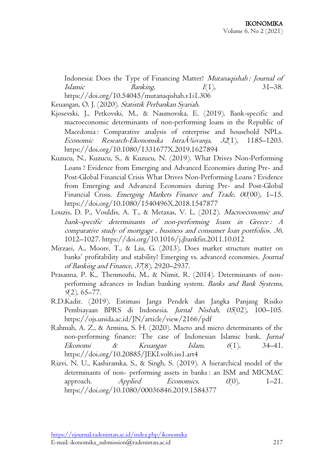Indonesia: Does the Type of Financing Matter? Mutanaqishah : Journal of  $Islamic$  Banking,  $I(1)$ ,  $31-38$ . https://doi.org/10.54045/mutanaqishah.v1i1.306

Keuangan, O. J. (2020). Statistik Perbankan Syariah.

- Kjosevski, J., Petkovski, M., & Naumovska, E. (2019). Bank-specific and macroeconomic determinants of non-performing loans in the Republic of Macedonia : Comparative analysis of enterprise and household NPLs. Economic Research-Ekonomska Istra $\AA\frac{3}{4}$ ivanja, 32(1), 1185–1203. https://doi.org/10.1080/1331677X.2019.1627894
- Kuzucu, N., Kuzucu, S., & Kuzucu, N. (2019). What Drives Non-Performing Loans ? Evidence from Emerging and Advanced Economies during Pre- and Post-Global Financial Crisis What Drives Non-Performing Loans ? Evidence from Emerging and Advanced Economies during Pre- and Post-Global Financial Crisis. *Emerging Markets Finance and Trade*, 00(00), 1–15. https://doi.org/10.1080/1540496X.2018.1547877
- Louzis, D. P., Vouldis, A. T., & Metaxas, V. L. (2012). Macroeconomic and bank-specific determinants of non-performing loans in Greece : A comparative study of mortgage , business and consumer loan portfolios. 36, 1012–1027. https://doi.org/10.1016/j.jbankfin.2011.10.012
- Mirzaei, A., Moore, T., & Liu, G. (2013). Does market structure matter on banks' profitability and stability? Emerging vs. advanced economies. Journal of Banking and Finance, 37(8), 2920–2937.
- Prasanna, P. K., Thenmozhi, M., & Nimit, R. (2014). Determinants of nonperforming advances in Indian banking system. Banks and Bank Systems,  $9(2)$ , 65–77.
- R.D.Kadir. (2019). Estimasi Janga Pendek dan Jangka Panjang Risiko Pembiayaan BPRS di Indonesia. Jurnal Nisbah, 05(02), 100–105. https://ojs.unida.ac.id/JN/article/view/2166/pdf
- Rahmah, A. Z., & Armina, S. H. (2020). Macro and micro determinants of the non-performing finance: The case of Indonesian Islamic bank. Jurnal Ekonomi & Keuangan Islam,  $6(1)$ ,  $34-41$ . https://doi.org/10.20885/JEKI.vol6.iss1.art4
- Rizvi, N. U., Kashiramka, S., & Singh, S. (2019). A hierarchical model of the determinants of non- performing assets in banks : an ISM and MICMAC approach.  $\Delta$ *pplied*  $E$ conomics,  $O(0)$ ,  $I=2I$ . https://doi.org/10.1080/00036846.2019.1584377